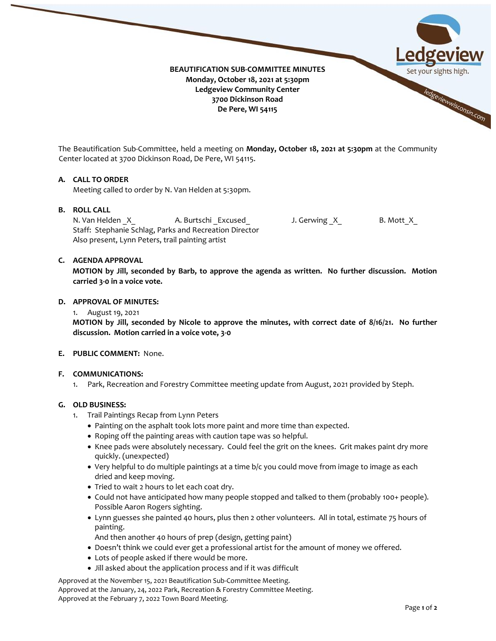

The Beautification Sub-Committee, held a meeting on **Monday, October 18, 2021 at 5:30pm** at the Community Center located at 3700 Dickinson Road, De Pere, WI 54115.

## **A. CALL TO ORDER**

Meeting called to order by N. Van Helden at 5:30pm.

## **B. ROLL CALL**

N. Van Helden X A. Burtschi \_Excused\_ J. Gerwing \_X\_ B. Mott\_X\_ Staff: Stephanie Schlag, Parks and Recreation Director Also present, Lynn Peters, trail painting artist

### **C. AGENDA APPROVAL**

**MOTION by Jill, seconded by Barb, to approve the agenda as written. No further discussion. Motion carried 3-0 in a voice vote.** 

### **D. APPROVAL OF MINUTES:**

1. August 19, 2021

**MOTION by Jill, seconded by Nicole to approve the minutes, with correct date of 8/16/21. No further discussion. Motion carried in a voice vote, 3-0** 

#### **E. PUBLIC COMMENT:** None.

#### **F. COMMUNICATIONS:**

1. Park, Recreation and Forestry Committee meeting update from August, 2021 provided by Steph.

### **G. OLD BUSINESS:**

- 1. Trail Paintings Recap from Lynn Peters
	- Painting on the asphalt took lots more paint and more time than expected.
	- Roping off the painting areas with caution tape was so helpful.
	- Knee pads were absolutely necessary. Could feel the grit on the knees. Grit makes paint dry more quickly. (unexpected)
	- Very helpful to do multiple paintings at a time b/c you could move from image to image as each dried and keep moving.
	- Tried to wait 2 hours to let each coat dry.
	- Could not have anticipated how many people stopped and talked to them (probably 100+ people). Possible Aaron Rogers sighting.
	- Lynn guesses she painted 40 hours, plus then 2 other volunteers. All in total, estimate 75 hours of painting.
		- And then another 40 hours of prep (design, getting paint)
	- Doesn't think we could ever get a professional artist for the amount of money we offered.
	- Lots of people asked if there would be more.
	- Jill asked about the application process and if it was difficult

Approved at the November 15, 2021 Beautification Sub-Committee Meeting. Approved at the January, 24, 2022 Park, Recreation & Forestry Committee Meeting. Approved at the February 7, 2022 Town Board Meeting.